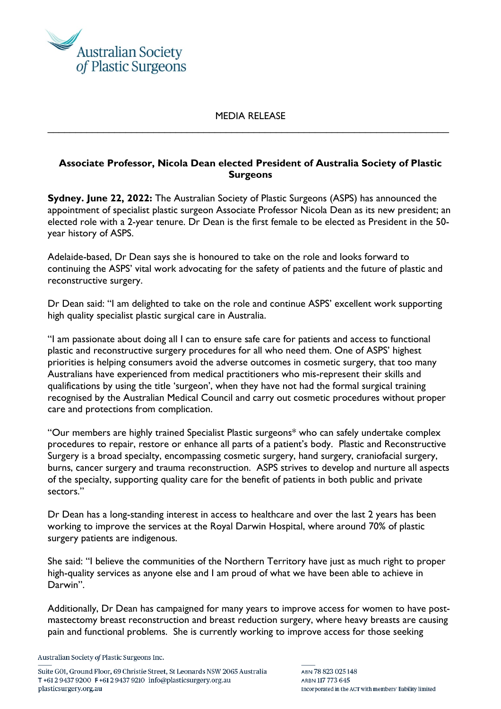

## MEDIA RELEASE \_\_\_\_\_\_\_\_\_\_\_\_\_\_\_\_\_\_\_\_\_\_\_\_\_\_\_\_\_\_\_\_\_\_\_\_\_\_\_\_\_\_\_\_\_\_\_\_\_\_\_\_\_\_\_\_\_\_\_\_\_\_\_\_\_\_\_\_\_\_\_\_

## **Associate Professor, Nicola Dean elected President of Australia Society of Plastic Surgeons**

**Sydney. June 22, 2022:** The Australian Society of Plastic Surgeons (ASPS) has announced the appointment of specialist plastic surgeon Associate Professor Nicola Dean as its new president; an elected role with a 2-year tenure. Dr Dean is the first female to be elected as President in the 50 year history of ASPS.

Adelaide-based, Dr Dean says she is honoured to take on the role and looks forward to continuing the ASPS' vital work advocating for the safety of patients and the future of plastic and reconstructive surgery.

Dr Dean said: "I am delighted to take on the role and continue ASPS' excellent work supporting high quality specialist plastic surgical care in Australia.

"I am passionate about doing all I can to ensure safe care for patients and access to functional plastic and reconstructive surgery procedures for all who need them. One of ASPS' highest priorities is helping consumers avoid the adverse outcomes in cosmetic surgery, that too many Australians have experienced from medical practitioners who mis-represent their skills and qualifications by using the title 'surgeon', when they have not had the formal surgical training recognised by the Australian Medical Council and carry out cosmetic procedures without proper care and protections from complication.

"Our members are highly trained Specialist Plastic surgeons\* who can safely undertake complex procedures to repair, restore or enhance all parts of a patient's body. Plastic and Reconstructive Surgery is a broad specialty, encompassing cosmetic surgery, hand surgery, craniofacial surgery, burns, cancer surgery and trauma reconstruction. ASPS strives to develop and nurture all aspects of the specialty, supporting quality care for the benefit of patients in both public and private sectors."

Dr Dean has a long-standing interest in access to healthcare and over the last 2 years has been working to improve the services at the Royal Darwin Hospital, where around 70% of plastic surgery patients are indigenous.

She said: "I believe the communities of the Northern Territory have just as much right to proper high-quality services as anyone else and I am proud of what we have been able to achieve in Darwin".

Additionally, Dr Dean has campaigned for many years to improve access for women to have postmastectomy breast reconstruction and breast reduction surgery, where heavy breasts are causing pain and functional problems. She is currently working to improve access for those seeking

Australian Society of Plastic Surgeons Inc.